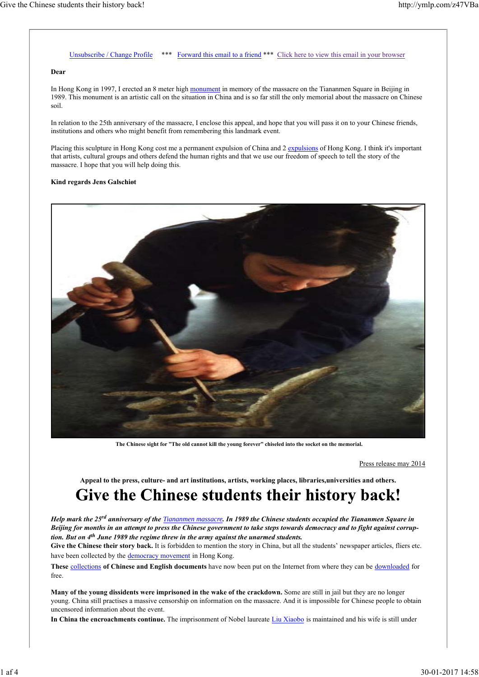### Unsubscribe / Change Profile \*\*\* Forward this email to a friend \*\*\* Click here to view this email in your browser

#### **Dear**

In Hong Kong in 1997, I erected an 8 meter high monument in memory of the massacre on the Tiananmen Square in Beijing in 1989. This monument is an artistic call on the situation in China and is so far still the only memorial about the massacre on Chinese soil.

In relation to the 25th anniversary of the massacre, I enclose this appeal, and hope that you will pass it on to your Chinese friends, institutions and others who might benefit from remembering this landmark event.

Placing this sculpture in Hong Kong cost me a permanent expulsion of China and 2 expulsions of Hong Kong. I think it's important that artists, cultural groups and others defend the human rights and that we use our freedom of speech to tell the story of the massacre. I hope that you will help doing this.

#### **Kind regards Jens Galschiøt**



**The Chinese sight for "The old cannot kill the young forever" chiseled into the socket on the memorial.**

Press release may 2014

#### **Appeal to the press, culture- and art institutions, artists, working places, libraries,universities and others.**

# Give the Chinese students their history back!

*Help mark the 25rd anniversary of the Tiananmen massacre. In 1989 the Chinese students occupied the Tiananmen Square in Beijing for months in an attempt to press the Chinese government to take steps towards democracy and to fight against corrup‐ tion. But on 4th June 1989 the regime threw in the army against the unarmed students.*

Give the Chinese their story back. It is forbidden to mention the story in China, but all the students' newspaper articles, fliers etc. have been collected by the democracy movement in Hong Kong.

**These** collections **of Chinese and English documents** have now been put on the Internet from where they can be downloaded for free.

**Many of the young dissidents were imprisoned in the wake of the crackdown.** Some are still in jail but they are no longer young. China still practises a massive censorship on information on the massacre. And it is impossible for Chinese people to obtain uncensored information about the event.

In China the encroachments continue. The imprisonment of Nobel laureate Liu Xiaobo is maintained and his wife is still under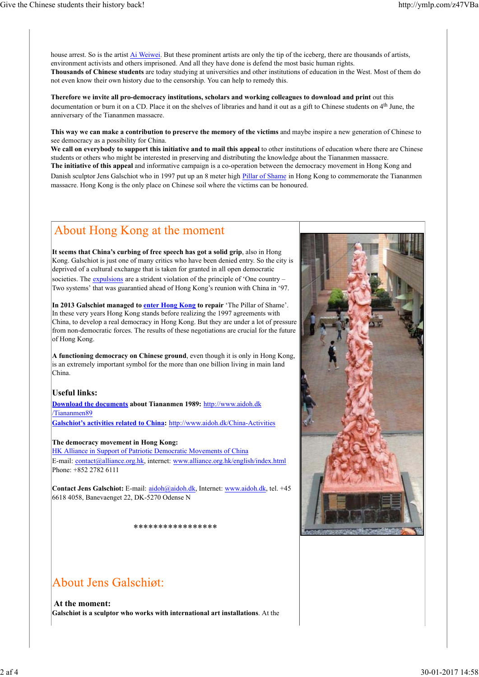house arrest. So is the artist Ai Weiwei. But these prominent artists are only the tip of the iceberg, there are thousands of artists, environment activists and others imprisoned. And all they have done is defend the most basic human rights. **Thousands of Chinese students** are today studying at universities and other institutions of education in the West. Most of them do not even know their own history due to the censorship. You can help to remedy this.

**Therefore we invite all pro-democracy institutions, scholars and working colleagues to download and print** out this documentation or burn it on a CD. Place it on the shelves of libraries and hand it out as a gift to Chinese students on 4<sup>th</sup> June, the anniversary of the Tiananmen massacre.

**This way we can make a contribution to preserve the memory of the victims** and maybe inspire a new generation of Chinese to see democracy as a possibility for China.

**We call on everybody to support this initiative and to mail this appeal** to other institutions of education where there are Chinese students or others who might be interested in preserving and distributing the knowledge about the Tiananmen massacre. **The initiative of this appeal** and informative campaign is a co-operation between the democracy movement in Hong Kong and Danish sculptor Jens Galschiot who in 1997 put up an 8 meter high Pillar of Shame in Hong Kong to commemorate the Tiananmen massacre. Hong Kong is the only place on Chinese soil where the victims can be honoured.

# About Hong Kong at the moment

**It seems that China's curbing of free speech has got a solid grip**, also in Hong Kong. Galschiot is just one of many critics who have been denied entry. So the city is deprived of a cultural exchange that is taken for granted in all open democratic societies. The expulsions are a strident violation of the principle of 'One country – Two systems' that was guarantied ahead of Hong Kong's reunion with China in '97.

**In 2013 Galschiøt managed to enter Hong Kong to repair** 'The Pillar of Shame'. In these very years Hong Kong stands before realizing the 1997 agreements with China, to develop a real democracy in Hong Kong. But they are under a lot of pressure from non-democratic forces. The results of these negotiations are crucial for the future of Hong Kong.

**A functioning democracy on Chinese ground**, even though it is only in Hong Kong, is an extremely important symbol for the more than one billion living in main land China.

### **Useful links:**

**Download the documents about Tiananmen 1989:** http://www.aidoh.dk /Tiananmen89

**Galschiot's activities related to China:** http://www.aidoh.dk/China-Activities

#### **The democracy movement in Hong Kong:**

HK Alliance in Support of Patriotic Democratic Movements of China E-mail: contact@alliance.org.hk, internet: www.alliance.org.hk/english/index.html Phone: +852 2782 6111

**Contact Jens Galschiot:** E-mail: aidoh@aidoh.dk, Internet: www.aidoh.dk, tel. +45 6618 4058, Banevaenget 22, DK-5270 Odense N

\*\*\*\*\*\*\*\*\*\*\*\*\*\*\*\*\*

# **About Jens Galschigt:**

**At the moment: Galschiøt is a sculptor who works with international art installations**. At the

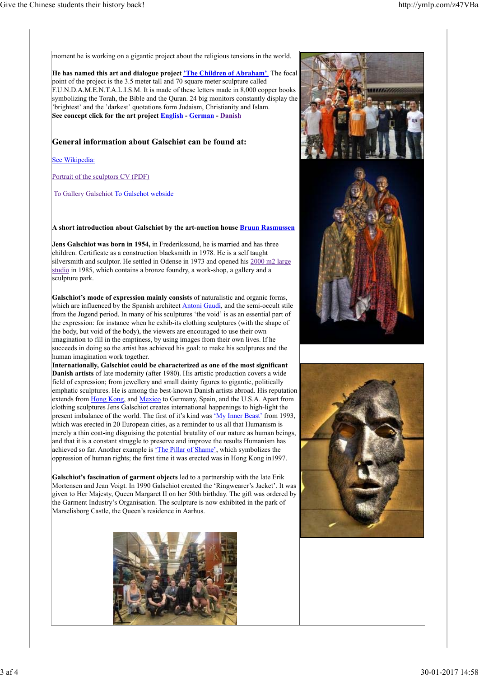moment he is working on a gigantic project about the religious tensions in the world.

**He has named this art and dialogue project 'The Children of Abraham'**. The focal point of the project is the 3.5 meter tall and 70 square meter sculpture called F.U.N.D.A.M.E.N.T.A.L.I.S.M. It is made of these letters made in 8,000 copper books symbolizing the Torah, the Bible and the Quran. 24 big monitors constantly display the 'brightest' and the 'darkest' quotations form Judaism, Christianity and Islam. **See concept click for the art project English - German - Danish**

### **General information about Galschiøt can be found at:**

See Wikipedia:

Portrait of the sculptors CV (PDF)

To Gallery Galschiot To Galschot webside

**A short introduction about Galschiøt by the art-auction house Bruun Rasmussen**

**Jens Galschiot was born in 1954,** in Frederikssund, he is married and has three children. Certificate as a construction blacksmith in 1978. He is a self taught silversmith and sculptor. He settled in Odense in 1973 and opened his 2000 m2 large studio in 1985, which contains a bronze foundry, a work-shop, a gallery and a sculpture park.

**Galschiot's mode of expression mainly consists** of naturalistic and organic forms, which are influenced by the Spanish architect Antoni Gaudí, and the semi-occult stile from the Jugend period. In many of his sculptures 'the void' is as an essential part of the expression: for instance when he exhib-its clothing sculptures (with the shape of the body, but void of the body), the viewers are encouraged to use their own imagination to fill in the emptiness, by using images from their own lives. If he succeeds in doing so the artist has achieved his goal: to make his sculptures and the human imagination work together.

**Internationally, Galschiot could be characterized as one of the most significant Danish artists** of late modernity (after 1980). His artistic production covers a wide field of expression; from jewellery and small dainty figures to gigantic, politically emphatic sculptures. He is among the best-known Danish artists abroad. His reputation extends from Hong Kong, and Mexico to Germany, Spain, and the U.S.A. Apart from clothing sculptures Jens Galschiot creates international happenings to high-light the present imbalance of the world. The first of it's kind was 'My Inner Beast' from 1993, which was erected in 20 European cities, as a reminder to us all that Humanism is merely a thin coat-ing disguising the potential brutality of our nature as human beings, and that it is a constant struggle to preserve and improve the results Humanism has achieved so far. Another example is 'The Pillar of Shame', which symbolizes the oppression of human rights; the first time it was erected was in Hong Kong in1997.

**Galschiot's fascination of garment objects** led to a partnership with the late Erik Mortensen and Jean Voigt. In 1990 Galschiot created the 'Ringwearer's Jacket'. It was given to Her Majesty, Queen Margaret II on her 50th birthday. The gift was ordered by the Garment Industry's Organisation. The sculpture is now exhibited in the park of Marselisborg Castle, the Queen's residence in Aarhus.